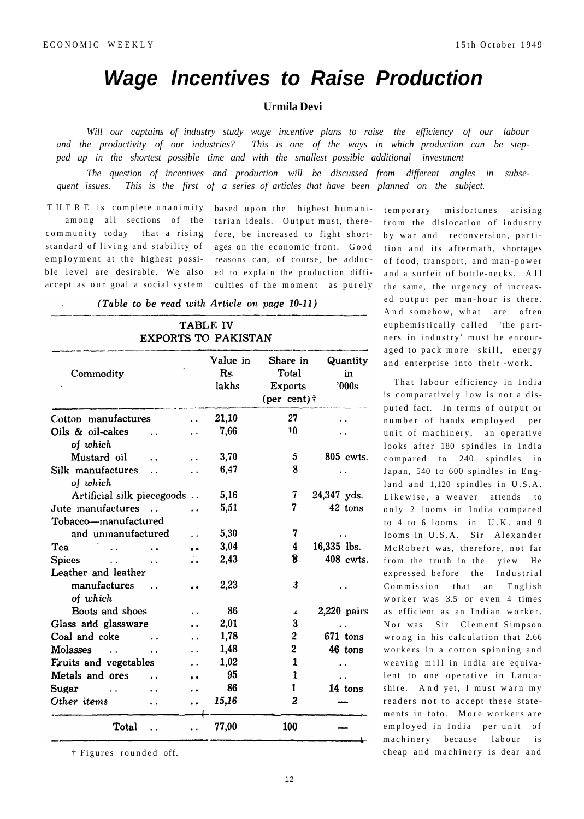## **Wage Incentives to Raise Production**

## **Urmila Devi**

Will our captains of industry study wage incentive plans to raise the efficiency of our labour *and the productivity of our industries? This is one of the ways in which production can be stepped up in the shortest possible time and with the smallest possible additional investment* 

*The question of incentives and production will be discussed from different angles in subsequent issues. This is the first of a series of articles that have been planned on the subject.* 

THERE is complete unanimity based upon the highest humanicommunity today that a rising standard of living and stability of employment at the highest possible level are desirable. We also ed to explain the production diffi-

among all sections of the tarian-ideals. Output-must, thereaccept as our goal a social system culties of the moment as purely fore, be increased to fight shortages on the economic front. Good reasons can, of course, be adduc-

(Table to be read with Article on page 10-11)

## **TABLE IV EXPORTS TO PAKISTAN**

| Commodity                                                                          |                      | Value in<br>R <sub>S</sub> .<br>lakhs | Share in<br>Total<br><b>Exports</b><br>(per cent) $\dagger$ | Quantity<br>in<br>'000s |
|------------------------------------------------------------------------------------|----------------------|---------------------------------------|-------------------------------------------------------------|-------------------------|
| Cotton manufactures                                                                |                      | 21,10                                 | 27                                                          |                         |
| Oils & oil-cakes<br>$\ddot{\phantom{a}}$<br>of which                               |                      | 7,66                                  | 10                                                          |                         |
| Mustard oil                                                                        |                      | 3,70                                  | 5                                                           | 805 cwts.               |
| Silk manufactures<br>$\ddot{\phantom{a}}$<br>of which                              |                      | 6,47                                  | 8                                                           |                         |
| Artificial silk piecegoods                                                         |                      | 5,16                                  | 7                                                           | 24,347 yds.             |
| Jute manufactures                                                                  |                      | 5,51                                  | 7                                                           | 42 tons                 |
| Tobacco—manufactured                                                               |                      |                                       |                                                             |                         |
| and unmanufactured                                                                 |                      | 5,30                                  | 7                                                           |                         |
| Tea                                                                                | $\ddot{\phantom{0}}$ | 3,04                                  | 4                                                           | 16,335 lbs.             |
| <b>Spices</b><br>$\mathbf{r}$ , and the state $\mathbf{r}$<br>$\ddot{\phantom{a}}$ |                      | 2,43                                  | 8                                                           | 408 cwts.               |
| Leather and leather                                                                |                      |                                       |                                                             |                         |
| manufactures<br>$\ddot{\phantom{a}}$<br>of which                                   |                      | 2,23                                  | 3                                                           |                         |
| Boots and shoes                                                                    |                      | 86                                    | $\blacktriangle$                                            | $2,220$ pairs           |
| Glass and glassware                                                                |                      | 2,01                                  | 3                                                           |                         |
| Coal and coke<br>$\ddot{\phantom{a}}$                                              |                      | 1,78                                  | 2                                                           | $671$ tons              |
| Molasses<br>$\ddot{\phantom{0}}$                                                   |                      | 1,48                                  | $\overline{2}$                                              | 46 tons                 |
| <b>Fruits and vegetables</b>                                                       | . .                  | 1,02                                  | $\mathbf{1}$                                                |                         |
| Metals and ores<br>$\ddot{\phantom{a}}$                                            |                      | 95                                    | 1                                                           |                         |
| Sugar<br><b>Contract Contract</b>                                                  |                      | 86                                    | 1                                                           | 14 tons                 |
| Other items                                                                        |                      | 15,16                                 | 2                                                           |                         |
| Total                                                                              |                      | 77,00                                 | 100                                                         |                         |

 $\dagger$  Figures rounded off.

temporary misfortunes arising from the dislocation of industry by war and reconversion, partition and its aftermath, shortages of food, transport, and man-power and a surfeit of bottle-necks. All the same, the urgency of increased output per man-hour is there. And somehow, what are often euphemistically called 'the partners in industry' must be encouraged to pack more skill, energy and enterprise into their -work.

That labour efficiency in India is comparatively low is not a disputed fact. In terms of output or number of hands employed per unit of machinery, an operative looks after 180 spindles in India compared to 240 spindles in Japan, 540 to 600 spindles in England and  $1,120$  spindles in  $U.S.A.$ Likewise, a weaver attends to only 2 looms in India compared to  $4$  to  $6$  looms in U.K. and  $9$ looms in U.S.A. Sir Alexander McRobert was, therefore, not far from the truth in the yiew He expressed before the Industrial Commission that an English worker was 3.5 or even 4 times as efficient as an Indian worker. Nor was Sir Clement Simpson wrong in his calculation that 2.66 workers in a cotton spinning and weaving mill in India are equivalent to one operative in Lancashire. And yet, I must warn my readers not to accept these statements in toto. More workers are employed in India per unit of machinery because labour is cheap and machinery is dear and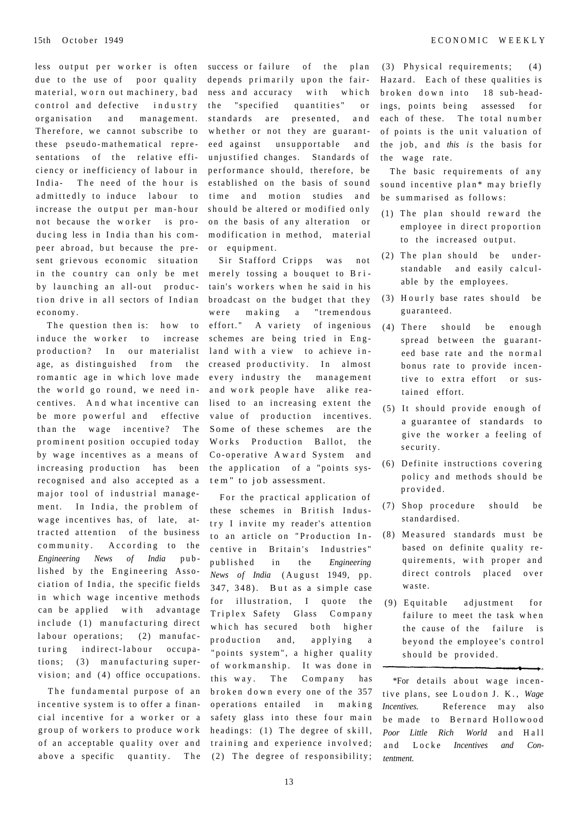less output per worker is often due to the use of poor quality material, worn out machinery, bad control and defective industry organisation and management. Therefore, we cannot subscribe to these pseudo-mathematical representations of the relative efficiency or inefficiency of labour in India- The need of the hour is admittedly to induce labour to increase the output per man-hour not because the worker is producing less in India than his compeer abroad, but because the present grievous economic situation in the country can only be met by launching an all-out production drive in all sectors of Indian economy .

The question then is: how to induce the worker to increase production? In our materialist age, as distinguished from the romantic age in which love made the world go round, we need incentives. And what incentive can be more powerful and effective than the wage incentive? The prominent position occupied today by wage incentives as a means of increasing production has been recognised and also accepted as a major tool of industrial management. In India, the problem of wage incentives has, of late, attracted attention of the business community. According to the *Engineering News of India* pub lished by the Engineering Association of India, the specific fields in which wage incentive methods can be applied with advantage include (1) manufacturing direct labour operations; (2) manufacturing indirect-labour occupations; (3) manufacturing supervision; and  $(4)$  office occupations.

The fundamental purpose of an incentive system is to offer a financial incentive for a worker or a group of workers to produce work of an acceptable quality over and above a specific quantity. The

success or failure of the plan depends primarily upon the fairness and accuracy with which the "specified quantities" or standards are presented, and whether or not they are guaranteed against unsupportable and unjustified changes. Standards of performance should, therefore, be established on the basis of sound time and motion studies and should be altered or modified only on the basis of any alteration or modification in method, material or equipment.

Sir Stafford Cripps was not merely tossing a bouquet to Britain's workers when he said in his broadcast on the budget that they were making a "tremendous effort." A variety of ingenious schemes are being tried in England with a view to achieve increased productivity. In almost every industry the management and work people have alike realised to an increasing extent the value of production incentives. Some of these schemes are the Works Production Ballot, the Co-operative Award System and the application of a "points system" to job assessment.

For the practical application of these schemes in British Industry I invite my reader's attention to an article on "Production Incentive in Britain's Industries" publishe d in the *Engineering News of India* (August 1949, pp.  $347, 348$ ). But as a simple case for illustration, I quote the Triplex Safety Glass Company which has secured both higher production and, applying a "points system", a higher quality of workmanship. It was done in this way. The Company has broken down every one of the 357 operations entailed in making safety glass into these four main headings:  $(1)$  The degree of skill, training and experience involved;  $(2)$  The degree of responsibility;

 $(3)$  Physical requirements;  $(4)$ Hazard. Each of these qualities is broken down into 18 sub-headings, points being assessed for each of these. The total number of points is the unit valuation of the job, and *this is* the basis for the wage rate.

The basic requirements of any sound incentive plan\* may briefly be summarised as follows:

- $(1)$  The plan should reward the employee in direct proportion to the increased output.
- $(2)$  The plan should be understandable and easily calculable by the employees.
- $(3)$  Hourly base rates should be guaranteed .
- $(4)$  There should be enough spread between the guaranteed base rate and the normal bonus rate to provide incentive to extra effort or sustained effort.
- $(5)$  It should provide enough of a guarantee of standards to give the worker a feeling of security .
- $(6)$  Definite instructions covering policy and methods should be provided .
- (7) Shop procedure should be standardised .
- (8) Measured standards must be based on definite quality requirements, with proper and direct controls placed over waste.
- $(9)$  Equitable adjustment for failure to meet the task when the cause of the failure is beyond the employee's control should be provided.

\*For details about wage incentive plans, see Loudon J. K., Wage *Incentives.* Reference may also be made to Bernard Hollowood *Poor Little Rich World* and Hall and Locke *Incentives and Contentment.*